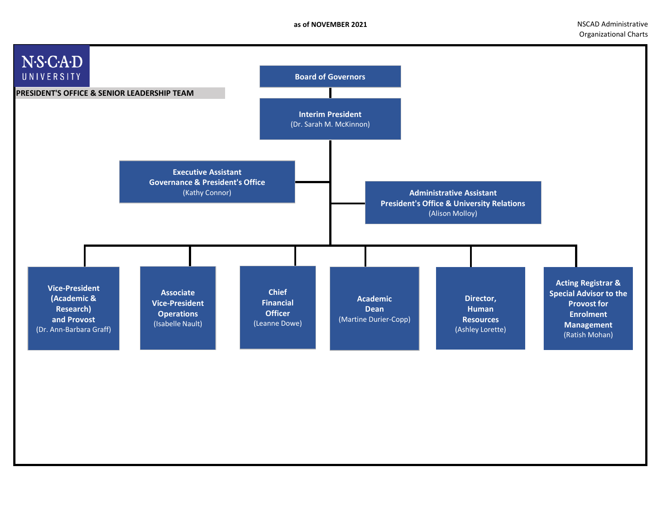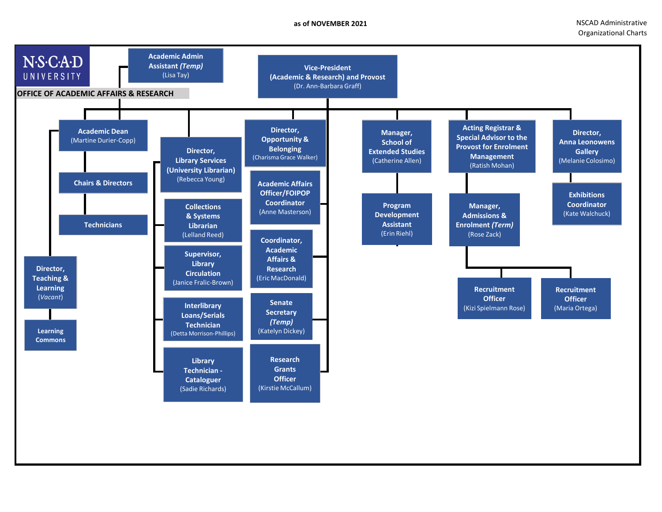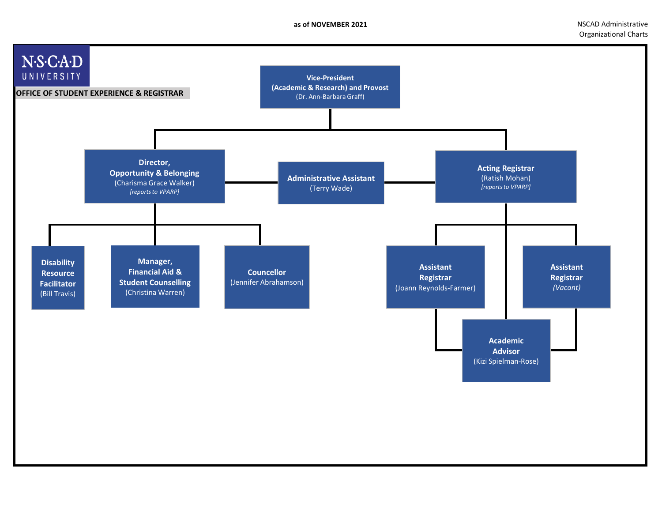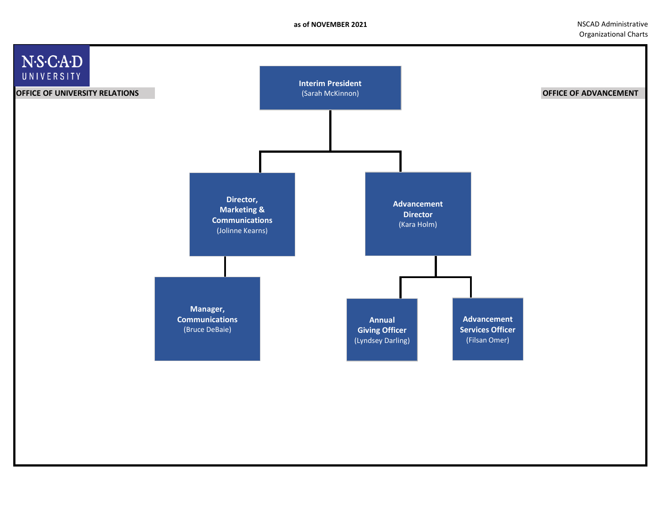**as of NOVEMBER 2021 and STATE Administrative NSCAD Administrative NSCAD Administrative** Organizational Charts

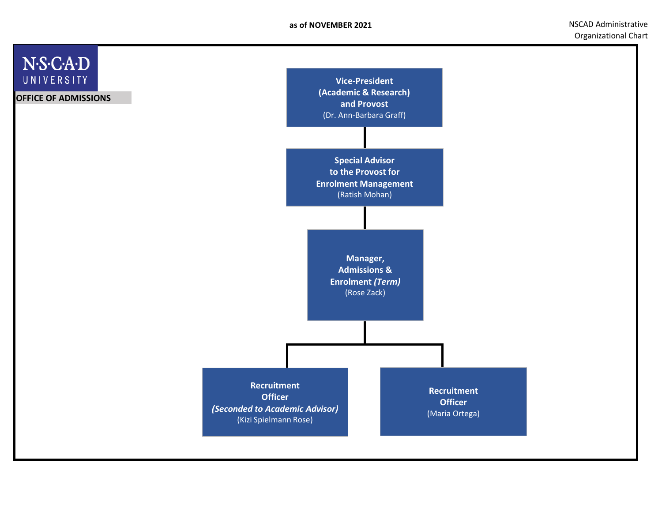**as of NOVEMBER 2021 NSCAD Administrative** Organizational Chart

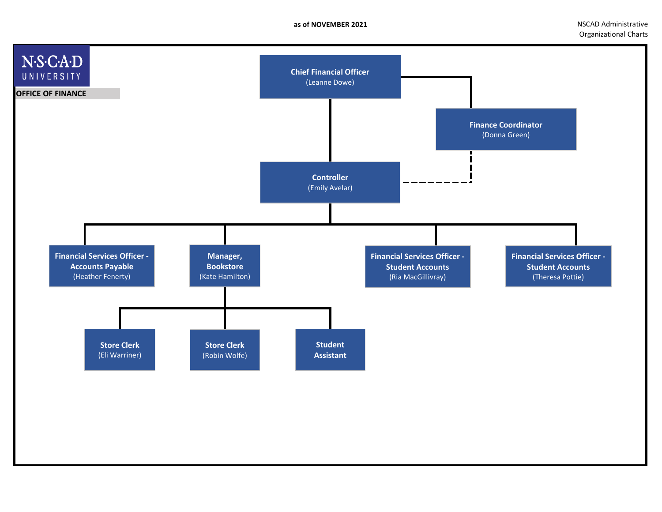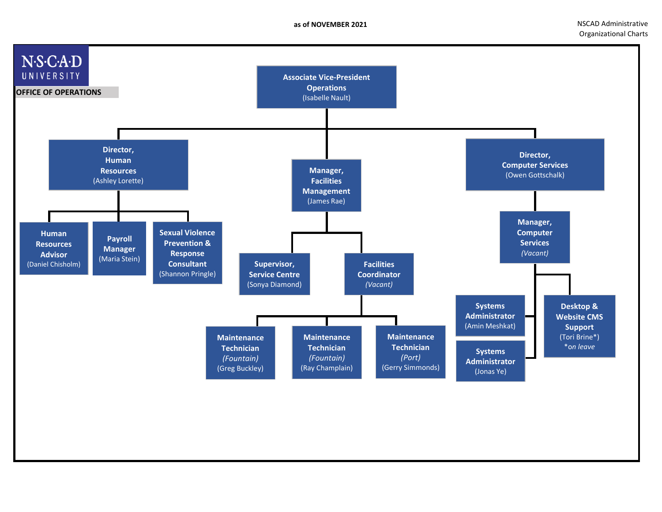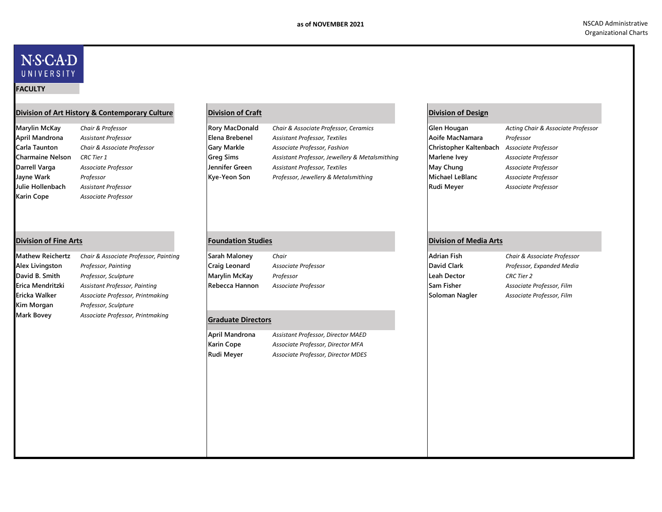## N.S.C.A.D UNIVERSITY

#### **FACULTY**

### **Division of Art History & Contemporary Culture Division of Craft Division of Design**

**Karin Cope** *Associate Professor*

| Marylin McKay    | Chair & Professor           | <b>Rory MacDonald</b> | Chair & Associate Professor, Ceramics          | Glen Hougan            | Acting Chair & Associate Professor |
|------------------|-----------------------------|-----------------------|------------------------------------------------|------------------------|------------------------------------|
| April Mandrona   | <b>Assistant Professor</b>  | Elena Brebenel        | <b>Assistant Professor, Textiles</b>           | Aoife MacNamara        | Professor                          |
| Carla Taunton    | Chair & Associate Professor | <b>Gary Markle</b>    | Associate Professor, Fashion                   | Christopher Kaltenbach | Associate Professor                |
| Charmaine Nelson | <b>CRC</b> Tier 1           | <b>Greg Sims</b>      | Assistant Professor, Jewellery & Metalsmithing | Marlene Ivey           | Associate Professor                |
| Darrell Varga    | Associate Professor         | Jennifer Green        | <b>Assistant Professor, Textiles</b>           | May Chung              | Associate Professor                |
| Jayne Wark       | Professor                   | Kye-Yeon Son          | Professor, Jewellery & Metalsmithing           | Michael LeBlanc        | Associate Professor                |
| Julie Hollenbach | Assistant Professor         |                       |                                                | Rudi Meyer             | Associate Professor                |

| Mathew Reichertz | Chair & Associate Professor, Painting | Sarah Maloney                    | Chair               | <b>Adrian Fish</b> | Chair & Associate Professor |
|------------------|---------------------------------------|----------------------------------|---------------------|--------------------|-----------------------------|
| Alex Livingston  | Professor, Painting                   | Craig Leonard                    | Associate Professor | David Clark        | Professor, Expanded Media   |
| David B. Smith   | Professor, Sculpture                  | <b>Marylin McKay</b>             | Professor           | Leah Dector        | CRC Tier 2                  |
| Erica Mendritzki | Assistant Professor, Painting         | Rebecca Hannon                   | Associate Professor | <b>Sam Fisher</b>  | Associate Professor, Film   |
| Ericka Walker    | Associate Professor, Printmaking      |                                  |                     | Soloman Nagler     | Associate Professor, Film   |
| Kim Morgan       | Professor, Sculpture                  |                                  |                     |                    |                             |
| Mark Bovey       | Associate Professor, Printmaking      | $C_{\text{max}}$ duata Disaatasa |                     |                    |                             |

### **Graduate Directors**

**April Mandrona** *Assistant Professor, Director MAED*

**Karin Cope** *Associate Professor, Director MFA* **Rudi Meyer** *Associate Professor, Director MDES*

### **Division of Fine Arts Foundation Studies Division of Media Arts**

| Adrian Fish        | Chair & Associate Pr |
|--------------------|----------------------|
| <b>David Clark</b> | Professor, Expandea  |
| eah Dector.        | <b>CRC</b> Tier 2    |
| Sam Fisher         | Associate Professor, |
| Soloman Nagler     | Associate Professor, |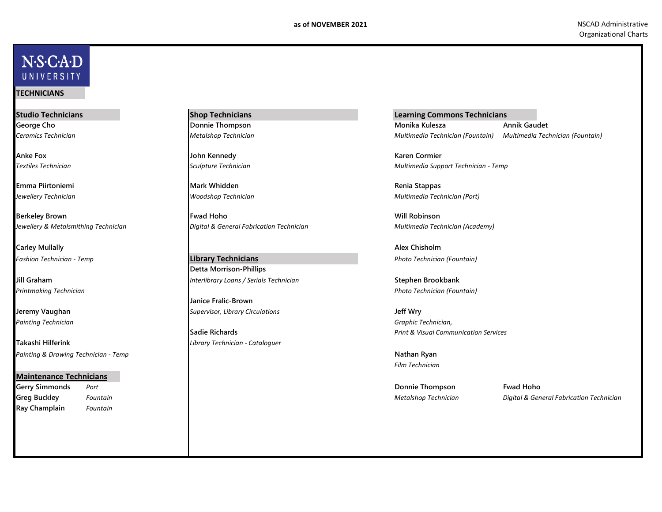# N.S.C.A.D UNIVERSITY

### **TECHNICIANS**

**Studio Technicians Shop Technicians** 

**Carley Mullally Alex Chisholm**

*Painting Technician Graphic Technician,*

**Takashi Hilferink** *Library Technician - Cataloguer Painting & Drawing Technician - Temp* **Nathan Ryan**

### **Maintenance Technicians**

**Ray Champlain** *Fountain*

**Anke Fox John Kennedy Karen Cormier**

**Emma Piirtoniemi Mark Whidden Renia Stappas**

**Berkeley Brown Fwad Hoho Will Robinson** *Jewellery & Metalsmithing Technician Digital & General Fabrication Technician Multimedia Technician (Academy)*

#### *Fashion Technician - Temp Photo Technician (Fountain)* **Detta Morrison-Phillips Library Technicians**

**Jill Graham** *Interlibrary Loans / Serials Technician* **Stephen Brookbank**

**Janice Fralic-Brown Jeremy Vaughan** *Supervisor, Library Circulations* **Jeff Wry**

**Learning Commons Technicians George Cho Donnie Thompson Monika Kulesza Annik Gaudet** *Ceramics Technician Metalshop Technician Multimedia Technician (Fountain) Multimedia Technician (Fountain)*

*Textiles Technician Sculpture Technician Multimedia Support Technician - Temp*

*Jewellery Technician Woodshop Technician Multimedia Technician (Port)*

*Printmaking Technician Photo Technician (Fountain)*

**Sadie Richards** *Print & Visual Communication Services*

*Film Technician*

**Gerry Simmonds** *Port* **Donnie Thompson Fwad Hoho**

**Greg Buckley** *Fountain Metalshop Technician Digital & General Fabrication Technician*